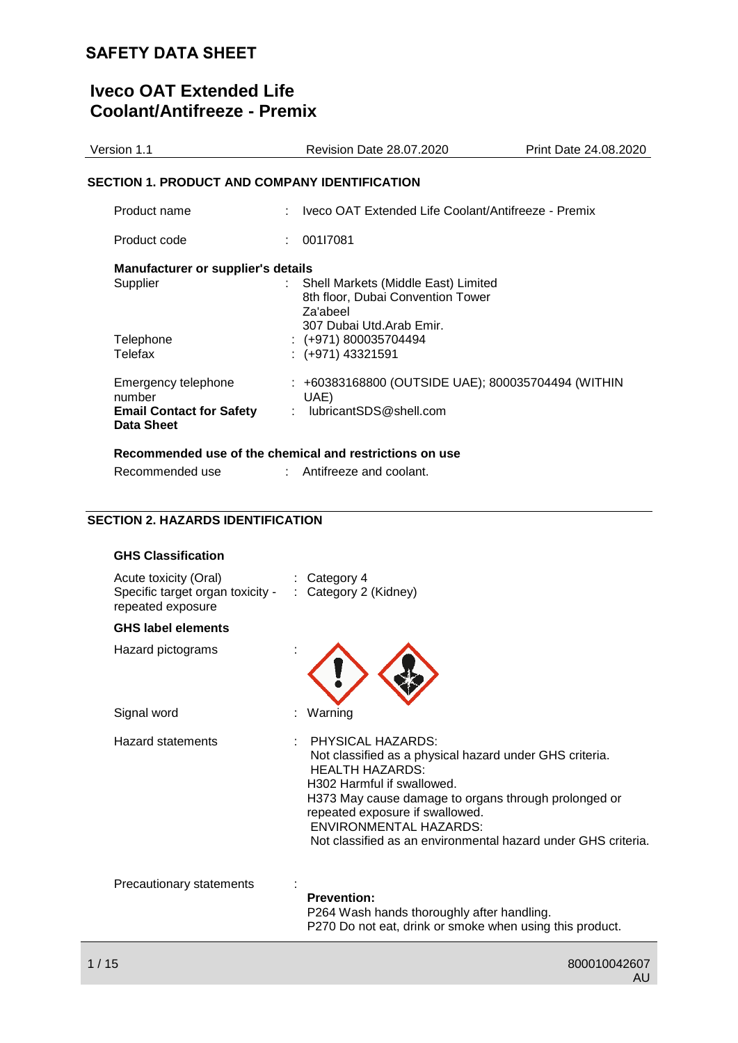# **Iveco OAT Extended Life Coolant/Antifreeze - Premix**

| Version 1.1                                          | <b>Revision Date 28.07.2020</b>                                           | Print Date 24.08.2020 |
|------------------------------------------------------|---------------------------------------------------------------------------|-----------------------|
| SECTION 1. PRODUCT AND COMPANY IDENTIFICATION        |                                                                           |                       |
| Product name                                         | : Iveco OAT Extended Life Coolant/Antifreeze - Premix                     |                       |
| Product code                                         | 001l7081                                                                  |                       |
| Manufacturer or supplier's details<br>Supplier       | Shell Markets (Middle East) Limited                                       |                       |
|                                                      | 8th floor, Dubai Convention Tower<br>Za'abeel<br>307 Dubai Utd.Arab Emir. |                       |
| Telephone<br>Telefax                                 | $:(+971)800035704494$<br>$: (+971)$ 43321591                              |                       |
|                                                      |                                                                           |                       |
| Emergency telephone<br>number                        | : +60383168800 (OUTSIDE UAE); 800035704494 (WITHIN<br>UAE)                |                       |
| <b>Email Contact for Safety</b><br><b>Data Sheet</b> | : lubricantSDS@shell.com                                                  |                       |
|                                                      | Recommended use of the chemical and restrictions on use                   |                       |
| Recommended use                                      | : Antifreeze and coolant.                                                 |                       |

## **SECTION 2. HAZARDS IDENTIFICATION**

| <b>GHS Classification</b>                                                      |                                                                                                                                                                                                                                                                                                                                   |
|--------------------------------------------------------------------------------|-----------------------------------------------------------------------------------------------------------------------------------------------------------------------------------------------------------------------------------------------------------------------------------------------------------------------------------|
| Acute toxicity (Oral)<br>Specific target organ toxicity -<br>repeated exposure | $:$ Category 4<br>: Category 2 (Kidney)                                                                                                                                                                                                                                                                                           |
| <b>GHS label elements</b>                                                      |                                                                                                                                                                                                                                                                                                                                   |
| Hazard pictograms                                                              |                                                                                                                                                                                                                                                                                                                                   |
| Signal word                                                                    | Warning                                                                                                                                                                                                                                                                                                                           |
| <b>Hazard statements</b>                                                       | PHYSICAL HAZARDS:<br>Not classified as a physical hazard under GHS criteria.<br><b>HEALTH HAZARDS:</b><br>H302 Harmful if swallowed.<br>H373 May cause damage to organs through prolonged or<br>repeated exposure if swallowed.<br><b>ENVIRONMENTAL HAZARDS:</b><br>Not classified as an environmental hazard under GHS criteria. |
| Precautionary statements                                                       | <b>Prevention:</b><br>P264 Wash hands thoroughly after handling.<br>P270 Do not eat, drink or smoke when using this product.                                                                                                                                                                                                      |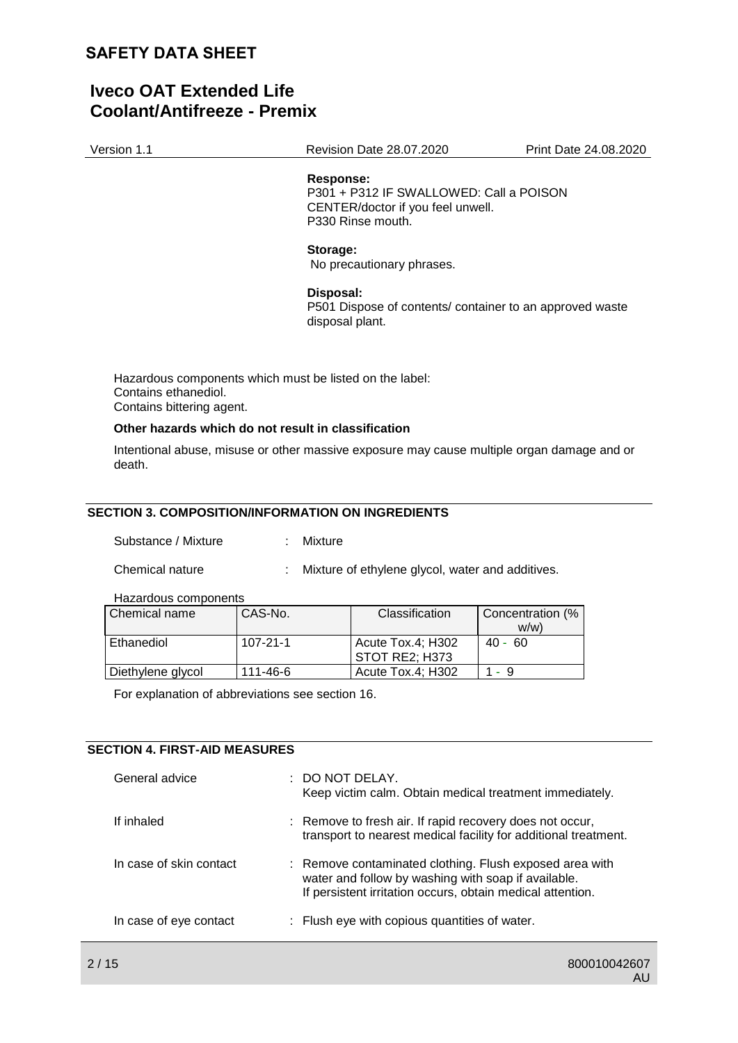# **Iveco OAT Extended Life Coolant/Antifreeze - Premix**

| Version 1.1 | <b>Revision Date 28.07.2020</b> | Print Date 24.08.2020 |  |
|-------------|---------------------------------|-----------------------|--|
|             |                                 |                       |  |

#### **Response:**

P301 + P312 IF SWALLOWED: Call a POISON CENTER/doctor if you feel unwell. P330 Rinse mouth.

#### **Storage:**

No precautionary phrases.

#### **Disposal:**

P501 Dispose of contents/ container to an approved waste disposal plant.

Hazardous components which must be listed on the label: Contains ethanediol. Contains bittering agent.

#### **Other hazards which do not result in classification**

Intentional abuse, misuse or other massive exposure may cause multiple organ damage and or death.

### **SECTION 3. COMPOSITION/INFORMATION ON INGREDIENTS**

| Substance / Mixture |  | Mixture |
|---------------------|--|---------|
|                     |  |         |

Chemical nature : Mixture of ethylene glycol, water and additives.

#### Hazardous components

| Chemical name     | CAS-No.        | Classification    | Concentration (% |
|-------------------|----------------|-------------------|------------------|
|                   |                |                   | w/w              |
| Ethanediol        | $107 - 21 - 1$ | Acute Tox.4; H302 | $40 - 60$        |
|                   |                | STOT RE2: H373    |                  |
| Diethylene glycol | 111-46-6       | Acute Tox.4; H302 | $1 - 9$          |

For explanation of abbreviations see section 16.

## **SECTION 4. FIRST-AID MEASURES**

| General advice          | : DO NOT DELAY.<br>Keep victim calm. Obtain medical treatment immediately.                                                                                                   |
|-------------------------|------------------------------------------------------------------------------------------------------------------------------------------------------------------------------|
| If inhaled              | : Remove to fresh air. If rapid recovery does not occur,<br>transport to nearest medical facility for additional treatment.                                                  |
| In case of skin contact | : Remove contaminated clothing. Flush exposed area with<br>water and follow by washing with soap if available.<br>If persistent irritation occurs, obtain medical attention. |
| In case of eye contact  | : Flush eye with copious quantities of water.                                                                                                                                |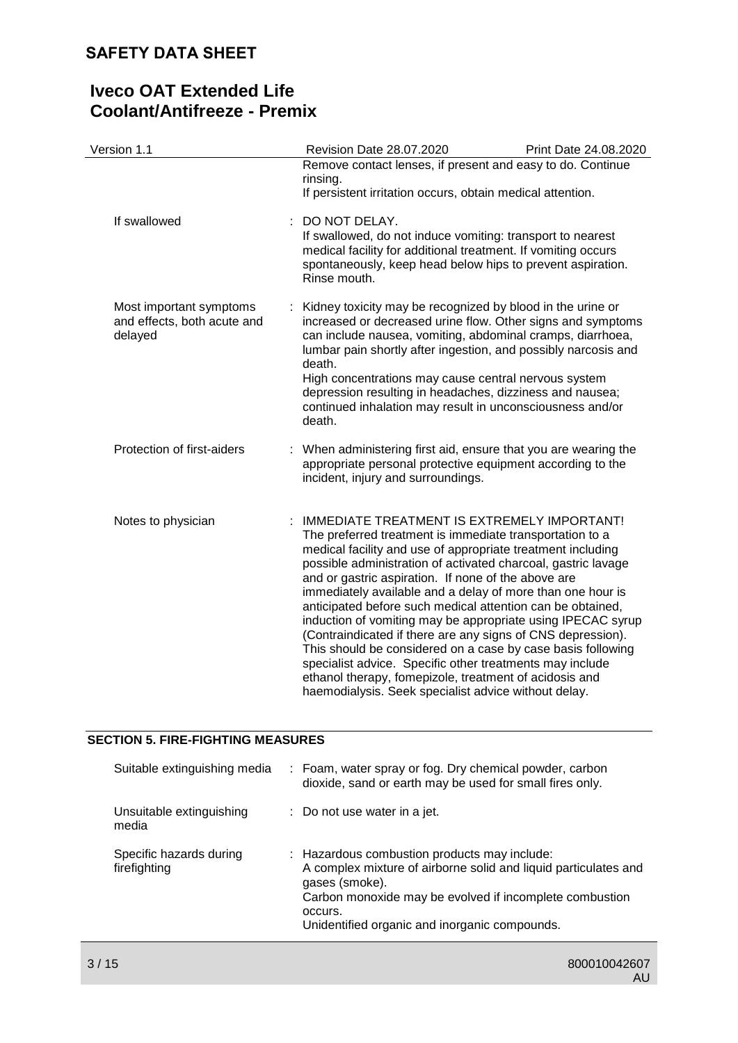| Version 1.1                                                       | Revision Date 28.07.2020                                                                                                                                                                                                                                                                                                                                                                                                                                                                                                                                                                                                                                                                                                                                                                              | Print Date 24.08.2020 |
|-------------------------------------------------------------------|-------------------------------------------------------------------------------------------------------------------------------------------------------------------------------------------------------------------------------------------------------------------------------------------------------------------------------------------------------------------------------------------------------------------------------------------------------------------------------------------------------------------------------------------------------------------------------------------------------------------------------------------------------------------------------------------------------------------------------------------------------------------------------------------------------|-----------------------|
|                                                                   | Remove contact lenses, if present and easy to do. Continue<br>rinsing.<br>If persistent irritation occurs, obtain medical attention.                                                                                                                                                                                                                                                                                                                                                                                                                                                                                                                                                                                                                                                                  |                       |
| If swallowed                                                      | : DO NOT DELAY.<br>If swallowed, do not induce vomiting: transport to nearest<br>medical facility for additional treatment. If vomiting occurs<br>spontaneously, keep head below hips to prevent aspiration.<br>Rinse mouth.                                                                                                                                                                                                                                                                                                                                                                                                                                                                                                                                                                          |                       |
| Most important symptoms<br>and effects, both acute and<br>delayed | : Kidney toxicity may be recognized by blood in the urine or<br>increased or decreased urine flow. Other signs and symptoms<br>can include nausea, vomiting, abdominal cramps, diarrhoea,<br>lumbar pain shortly after ingestion, and possibly narcosis and<br>death.<br>High concentrations may cause central nervous system<br>depression resulting in headaches, dizziness and nausea;<br>continued inhalation may result in unconsciousness and/or<br>death.                                                                                                                                                                                                                                                                                                                                      |                       |
| Protection of first-aiders                                        | When administering first aid, ensure that you are wearing the<br>appropriate personal protective equipment according to the<br>incident, injury and surroundings.                                                                                                                                                                                                                                                                                                                                                                                                                                                                                                                                                                                                                                     |                       |
| Notes to physician                                                | IMMEDIATE TREATMENT IS EXTREMELY IMPORTANT!<br>The preferred treatment is immediate transportation to a<br>medical facility and use of appropriate treatment including<br>possible administration of activated charcoal, gastric lavage<br>and or gastric aspiration. If none of the above are<br>immediately available and a delay of more than one hour is<br>anticipated before such medical attention can be obtained,<br>induction of vomiting may be appropriate using IPECAC syrup<br>(Contraindicated if there are any signs of CNS depression).<br>This should be considered on a case by case basis following<br>specialist advice. Specific other treatments may include<br>ethanol therapy, fomepizole, treatment of acidosis and<br>haemodialysis. Seek specialist advice without delay. |                       |

## **SECTION 5. FIRE-FIGHTING MEASURES**

| Suitable extinguishing media            | : Foam, water spray or fog. Dry chemical powder, carbon<br>dioxide, sand or earth may be used for small fires only.                                                                                                                                      |
|-----------------------------------------|----------------------------------------------------------------------------------------------------------------------------------------------------------------------------------------------------------------------------------------------------------|
| Unsuitable extinguishing<br>media       | $\therefore$ Do not use water in a jet.                                                                                                                                                                                                                  |
| Specific hazards during<br>firefighting | : Hazardous combustion products may include:<br>A complex mixture of airborne solid and liquid particulates and<br>gases (smoke).<br>Carbon monoxide may be evolved if incomplete combustion<br>occurs.<br>Unidentified organic and inorganic compounds. |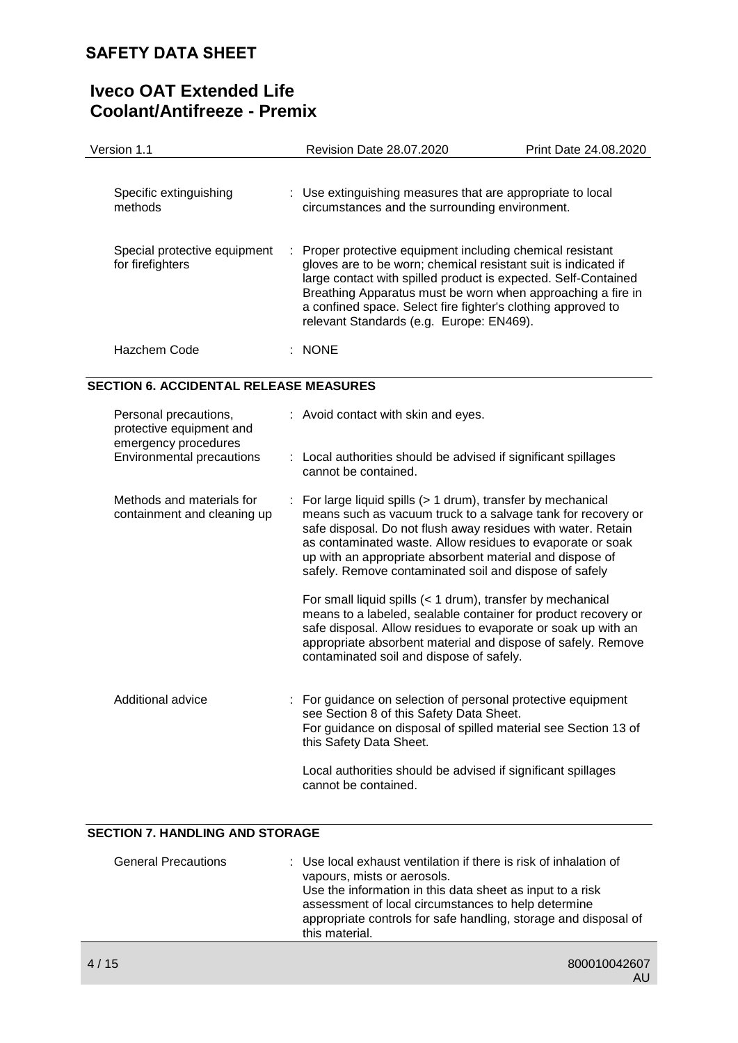| Version 1.1                                                               | Revision Date 28.07.2020                                                                                                                                                                                                                                                                                                                                                       | Print Date 24.08.2020 |
|---------------------------------------------------------------------------|--------------------------------------------------------------------------------------------------------------------------------------------------------------------------------------------------------------------------------------------------------------------------------------------------------------------------------------------------------------------------------|-----------------------|
| Specific extinguishing<br>methods                                         | : Use extinguishing measures that are appropriate to local<br>circumstances and the surrounding environment.                                                                                                                                                                                                                                                                   |                       |
| Special protective equipment<br>for firefighters                          | Proper protective equipment including chemical resistant<br>gloves are to be worn; chemical resistant suit is indicated if<br>large contact with spilled product is expected. Self-Contained<br>Breathing Apparatus must be worn when approaching a fire in<br>a confined space. Select fire fighter's clothing approved to<br>relevant Standards (e.g. Europe: EN469).        |                       |
| Hazchem Code                                                              | $:$ NONE                                                                                                                                                                                                                                                                                                                                                                       |                       |
| <b>SECTION 6. ACCIDENTAL RELEASE MEASURES</b>                             |                                                                                                                                                                                                                                                                                                                                                                                |                       |
| Personal precautions,<br>protective equipment and<br>emergency procedures | : Avoid contact with skin and eyes.                                                                                                                                                                                                                                                                                                                                            |                       |
| <b>Environmental precautions</b>                                          | : Local authorities should be advised if significant spillages<br>cannot be contained.                                                                                                                                                                                                                                                                                         |                       |
| Methods and materials for<br>containment and cleaning up                  | For large liquid spills (> 1 drum), transfer by mechanical<br>means such as vacuum truck to a salvage tank for recovery or<br>safe disposal. Do not flush away residues with water. Retain<br>as contaminated waste. Allow residues to evaporate or soak<br>up with an appropriate absorbent material and dispose of<br>safely. Remove contaminated soil and dispose of safely |                       |
|                                                                           | For small liquid spills (< 1 drum), transfer by mechanical<br>means to a labeled, sealable container for product recovery or<br>safe disposal. Allow residues to evaporate or soak up with an<br>appropriate absorbent material and dispose of safely. Remove<br>contaminated soil and dispose of safely.                                                                      |                       |
| <b>Additional advice</b>                                                  | For guidance on selection of personal protective equipment<br>see Section 8 of this Safety Data Sheet.<br>For guidance on disposal of spilled material see Section 13 of<br>this Safety Data Sheet.                                                                                                                                                                            |                       |
|                                                                           | Local authorities should be advised if significant spillages<br>cannot be contained.                                                                                                                                                                                                                                                                                           |                       |

## **SECTION 7. HANDLING AND STORAGE**

| <b>General Precautions</b> | : Use local exhaust ventilation if there is risk of inhalation of<br>vapours, mists or aerosols.<br>Use the information in this data sheet as input to a risk<br>assessment of local circumstances to help determine<br>appropriate controls for safe handling, storage and disposal of<br>this material. |
|----------------------------|-----------------------------------------------------------------------------------------------------------------------------------------------------------------------------------------------------------------------------------------------------------------------------------------------------------|
|----------------------------|-----------------------------------------------------------------------------------------------------------------------------------------------------------------------------------------------------------------------------------------------------------------------------------------------------------|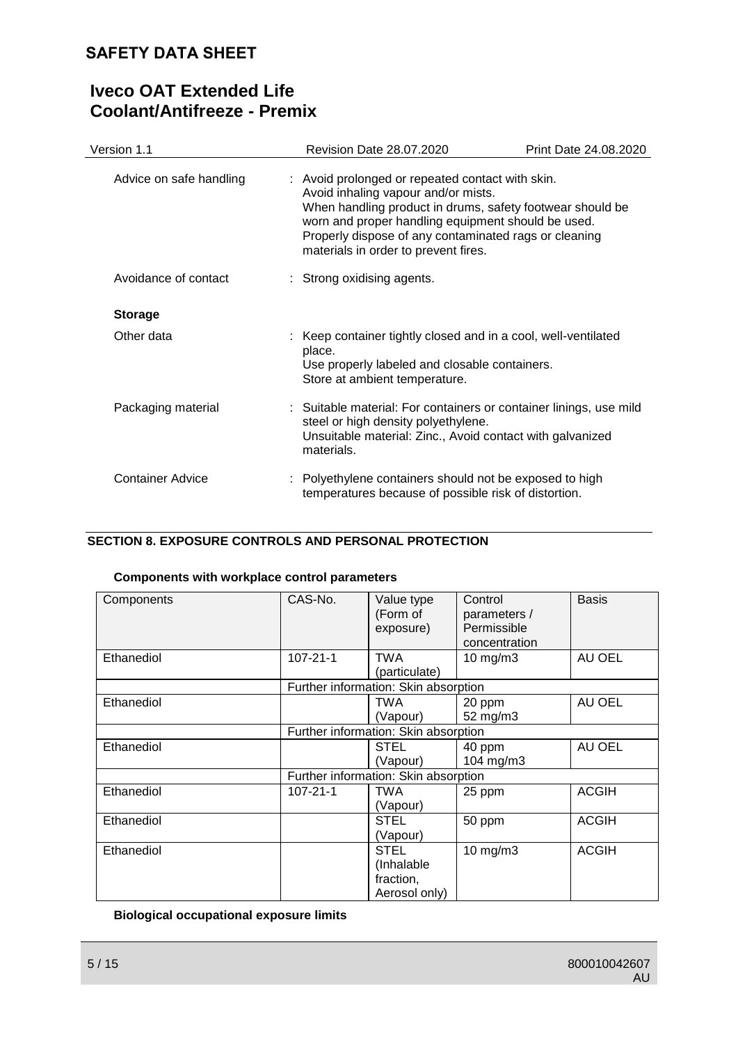# **Iveco OAT Extended Life Coolant/Antifreeze - Premix**

| Version 1.1             | Revision Date 28.07.2020                                                                                                                                                                                                                                                                                    | Print Date 24.08.2020 |
|-------------------------|-------------------------------------------------------------------------------------------------------------------------------------------------------------------------------------------------------------------------------------------------------------------------------------------------------------|-----------------------|
| Advice on safe handling | : Avoid prolonged or repeated contact with skin.<br>Avoid inhaling vapour and/or mists.<br>When handling product in drums, safety footwear should be<br>worn and proper handling equipment should be used.<br>Properly dispose of any contaminated rags or cleaning<br>materials in order to prevent fires. |                       |
| Avoidance of contact    | : Strong oxidising agents.                                                                                                                                                                                                                                                                                  |                       |
| <b>Storage</b>          |                                                                                                                                                                                                                                                                                                             |                       |
| Other data              | : Keep container tightly closed and in a cool, well-ventilated<br>place.<br>Use properly labeled and closable containers.<br>Store at ambient temperature.                                                                                                                                                  |                       |
| Packaging material      | : Suitable material: For containers or container linings, use mild<br>steel or high density polyethylene.<br>Unsuitable material: Zinc., Avoid contact with galvanized<br>materials.                                                                                                                        |                       |
| Container Advice        | : Polyethylene containers should not be exposed to high<br>temperatures because of possible risk of distortion.                                                                                                                                                                                             |                       |

## **SECTION 8. EXPOSURE CONTROLS AND PERSONAL PROTECTION**

## **Components with workplace control parameters**

| Components | CAS-No.        | Value type<br>(Form of<br>exposure)                     | Control<br>parameters /<br>Permissible<br>concentration | <b>Basis</b> |
|------------|----------------|---------------------------------------------------------|---------------------------------------------------------|--------------|
| Ethanediol | $107 - 21 - 1$ | <b>TWA</b><br>(particulate)                             | $10$ mg/m $3$                                           | AU OEL       |
|            |                | Further information: Skin absorption                    |                                                         |              |
| Ethanediol |                | TWA<br>(Vapour)                                         | 20 ppm<br>52 mg/m3                                      | AU OEL       |
|            |                | Further information: Skin absorption                    |                                                         |              |
| Ethanediol |                | <b>STEL</b><br>(Vapour)                                 | 40 ppm<br>104 mg/m3                                     | AU OEL       |
|            |                | Further information: Skin absorption                    |                                                         |              |
| Ethanediol | 107-21-1       | TWA<br>(Vapour)                                         | 25 ppm                                                  | <b>ACGIH</b> |
| Ethanediol |                | <b>STEL</b><br>(Vapour)                                 | 50 ppm                                                  | <b>ACGIH</b> |
| Ethanediol |                | <b>STEL</b><br>(Inhalable<br>fraction,<br>Aerosol only) | $10 \text{ mg/m}$                                       | <b>ACGIH</b> |

**Biological occupational exposure limits**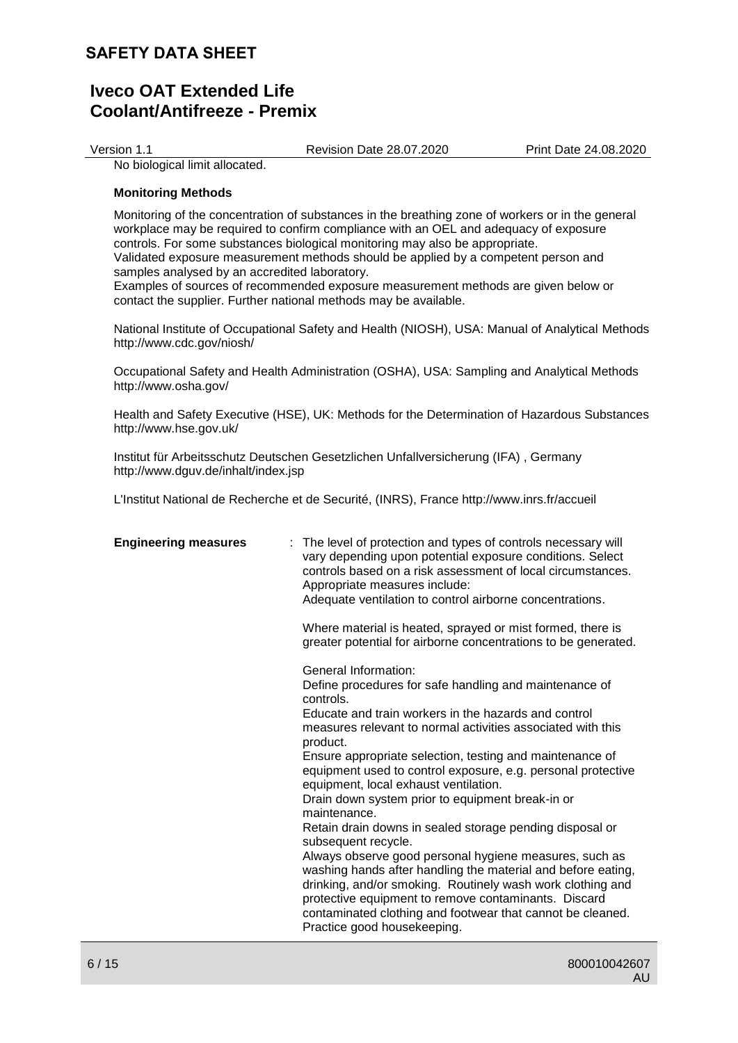| Print Date 24.08.2020<br>Version 1.1<br><b>Revision Date 28.07.2020</b> |
|-------------------------------------------------------------------------|
|-------------------------------------------------------------------------|

No biological limit allocated.

### **Monitoring Methods**

Monitoring of the concentration of substances in the breathing zone of workers or in the general workplace may be required to confirm compliance with an OEL and adequacy of exposure controls. For some substances biological monitoring may also be appropriate. Validated exposure measurement methods should be applied by a competent person and samples analysed by an accredited laboratory. Examples of sources of recommended exposure measurement methods are given below or contact the supplier. Further national methods may be available.

National Institute of Occupational Safety and Health (NIOSH), USA: Manual of Analytical Methods http://www.cdc.gov/niosh/

Occupational Safety and Health Administration (OSHA), USA: Sampling and Analytical Methods http://www.osha.gov/

Health and Safety Executive (HSE), UK: Methods for the Determination of Hazardous Substances http://www.hse.gov.uk/

Institut für Arbeitsschutz Deutschen Gesetzlichen Unfallversicherung (IFA) , Germany http://www.dguv.de/inhalt/index.jsp

L'Institut National de Recherche et de Securité, (INRS), France http://www.inrs.fr/accueil

| <b>Engineering measures</b> | The level of protection and types of controls necessary will<br>vary depending upon potential exposure conditions. Select<br>controls based on a risk assessment of local circumstances.<br>Appropriate measures include:<br>Adequate ventilation to control airborne concentrations.                                                                                                                                                                                                                                                                                                                                                                                                                                                                                                                                                                                                                   |
|-----------------------------|---------------------------------------------------------------------------------------------------------------------------------------------------------------------------------------------------------------------------------------------------------------------------------------------------------------------------------------------------------------------------------------------------------------------------------------------------------------------------------------------------------------------------------------------------------------------------------------------------------------------------------------------------------------------------------------------------------------------------------------------------------------------------------------------------------------------------------------------------------------------------------------------------------|
|                             | Where material is heated, sprayed or mist formed, there is<br>greater potential for airborne concentrations to be generated.                                                                                                                                                                                                                                                                                                                                                                                                                                                                                                                                                                                                                                                                                                                                                                            |
|                             | General Information:<br>Define procedures for safe handling and maintenance of<br>controls.<br>Educate and train workers in the hazards and control<br>measures relevant to normal activities associated with this<br>product.<br>Ensure appropriate selection, testing and maintenance of<br>equipment used to control exposure, e.g. personal protective<br>equipment, local exhaust ventilation.<br>Drain down system prior to equipment break-in or<br>maintenance.<br>Retain drain downs in sealed storage pending disposal or<br>subsequent recycle.<br>Always observe good personal hygiene measures, such as<br>washing hands after handling the material and before eating,<br>drinking, and/or smoking. Routinely wash work clothing and<br>protective equipment to remove contaminants. Discard<br>contaminated clothing and footwear that cannot be cleaned.<br>Practice good housekeeping. |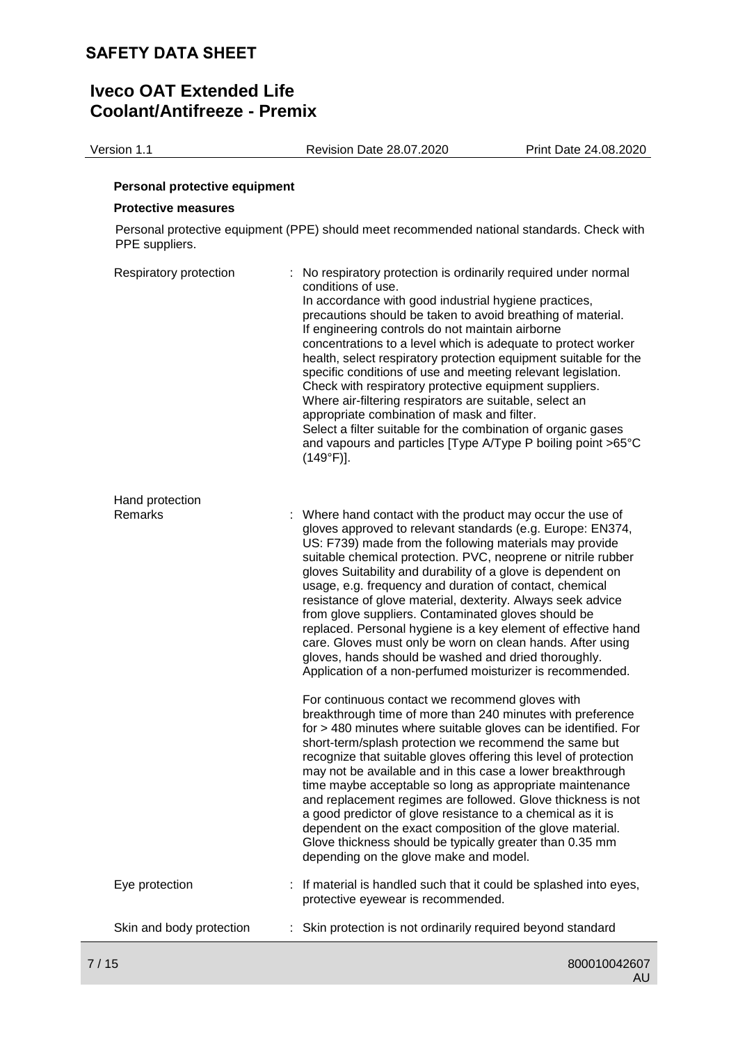Version 1.1 Revision Date 28.07.2020 Print Date 24.08.2020

#### **Personal protective equipment**

#### **Protective measures**

Personal protective equipment (PPE) should meet recommended national standards. Check with PPE suppliers.

| Respiratory protection   | No respiratory protection is ordinarily required under normal<br>conditions of use.<br>In accordance with good industrial hygiene practices,<br>precautions should be taken to avoid breathing of material.<br>If engineering controls do not maintain airborne<br>concentrations to a level which is adequate to protect worker<br>health, select respiratory protection equipment suitable for the<br>specific conditions of use and meeting relevant legislation.<br>Check with respiratory protective equipment suppliers.<br>Where air-filtering respirators are suitable, select an<br>appropriate combination of mask and filter.<br>Select a filter suitable for the combination of organic gases<br>and vapours and particles [Type A/Type P boiling point >65°C<br>$(149°F)$ ]. |  |
|--------------------------|-------------------------------------------------------------------------------------------------------------------------------------------------------------------------------------------------------------------------------------------------------------------------------------------------------------------------------------------------------------------------------------------------------------------------------------------------------------------------------------------------------------------------------------------------------------------------------------------------------------------------------------------------------------------------------------------------------------------------------------------------------------------------------------------|--|
| Hand protection          |                                                                                                                                                                                                                                                                                                                                                                                                                                                                                                                                                                                                                                                                                                                                                                                           |  |
| Remarks                  | : Where hand contact with the product may occur the use of<br>gloves approved to relevant standards (e.g. Europe: EN374,<br>US: F739) made from the following materials may provide<br>suitable chemical protection. PVC, neoprene or nitrile rubber<br>gloves Suitability and durability of a glove is dependent on<br>usage, e.g. frequency and duration of contact, chemical<br>resistance of glove material, dexterity. Always seek advice<br>from glove suppliers. Contaminated gloves should be<br>replaced. Personal hygiene is a key element of effective hand<br>care. Gloves must only be worn on clean hands. After using<br>gloves, hands should be washed and dried thoroughly.<br>Application of a non-perfumed moisturizer is recommended.                                 |  |
|                          | For continuous contact we recommend gloves with<br>breakthrough time of more than 240 minutes with preference<br>for > 480 minutes where suitable gloves can be identified. For<br>short-term/splash protection we recommend the same but<br>recognize that suitable gloves offering this level of protection<br>may not be available and in this case a lower breakthrough<br>time maybe acceptable so long as appropriate maintenance<br>and replacement regimes are followed. Glove thickness is not<br>a good predictor of glove resistance to a chemical as it is<br>dependent on the exact composition of the glove material.<br>Glove thickness should be typically greater than 0.35 mm<br>depending on the glove make and model.                                                 |  |
| Eye protection           | : If material is handled such that it could be splashed into eyes,<br>protective eyewear is recommended.                                                                                                                                                                                                                                                                                                                                                                                                                                                                                                                                                                                                                                                                                  |  |
| Skin and body protection | Skin protection is not ordinarily required beyond standard                                                                                                                                                                                                                                                                                                                                                                                                                                                                                                                                                                                                                                                                                                                                |  |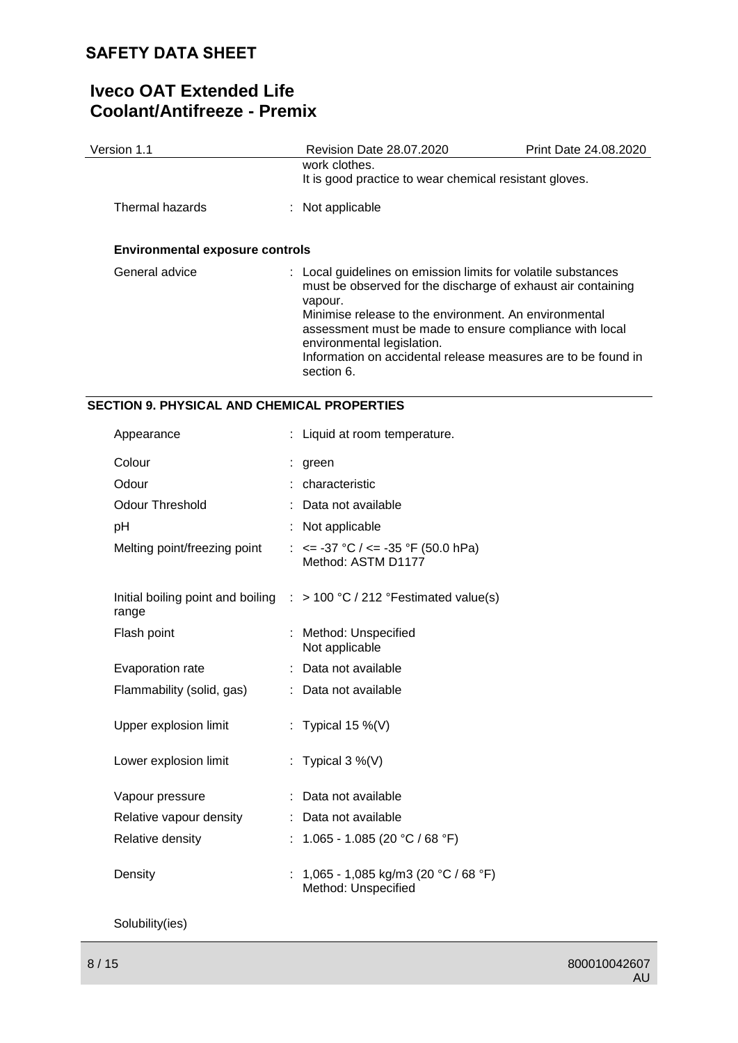# **Iveco OAT Extended Life Coolant/Antifreeze - Premix**

| Version 1.1                                        |    | Revision Date 28.07.2020                                                                                                                                                                                                                                                                                                                                                  | Print Date 24.08.2020 |
|----------------------------------------------------|----|---------------------------------------------------------------------------------------------------------------------------------------------------------------------------------------------------------------------------------------------------------------------------------------------------------------------------------------------------------------------------|-----------------------|
|                                                    |    | work clothes.<br>It is good practice to wear chemical resistant gloves.                                                                                                                                                                                                                                                                                                   |                       |
| Thermal hazards                                    |    | Not applicable                                                                                                                                                                                                                                                                                                                                                            |                       |
| <b>Environmental exposure controls</b>             |    |                                                                                                                                                                                                                                                                                                                                                                           |                       |
| General advice                                     |    | : Local guidelines on emission limits for volatile substances<br>must be observed for the discharge of exhaust air containing<br>vapour.<br>Minimise release to the environment. An environmental<br>assessment must be made to ensure compliance with local<br>environmental legislation.<br>Information on accidental release measures are to be found in<br>section 6. |                       |
| <b>SECTION 9. PHYSICAL AND CHEMICAL PROPERTIES</b> |    |                                                                                                                                                                                                                                                                                                                                                                           |                       |
| Appearance                                         |    | : Liquid at room temperature.                                                                                                                                                                                                                                                                                                                                             |                       |
| Colour                                             |    | green                                                                                                                                                                                                                                                                                                                                                                     |                       |
| Odour                                              |    | characteristic                                                                                                                                                                                                                                                                                                                                                            |                       |
| <b>Odour Threshold</b>                             |    | Data not available                                                                                                                                                                                                                                                                                                                                                        |                       |
| рH                                                 |    | Not applicable                                                                                                                                                                                                                                                                                                                                                            |                       |
| Melting point/freezing point                       |    | : $\le$ -37 °C / $\le$ -35 °F (50.0 hPa)<br>Method: ASTM D1177                                                                                                                                                                                                                                                                                                            |                       |
| Initial boiling point and boiling<br>range         | ÷. | > 100 °C / 212 °Festimated value(s)                                                                                                                                                                                                                                                                                                                                       |                       |
| Flash point                                        |    | : Method: Unspecified<br>Not applicable                                                                                                                                                                                                                                                                                                                                   |                       |
| Evaporation rate                                   |    | : Data not available                                                                                                                                                                                                                                                                                                                                                      |                       |

Upper explosion limit : Typical 15 %(V)

Flammability (solid, gas) : Data not available

Lower explosion limit : Typical 3 %(V) Vapour pressure : Data not available Relative vapour density : Data not available Relative density : 1.065 - 1.085 (20 °C / 68 °F) Density : 1,065 - 1,085 kg/m3 (20 °C / 68 °F) Method: Unspecified

Solubility(ies)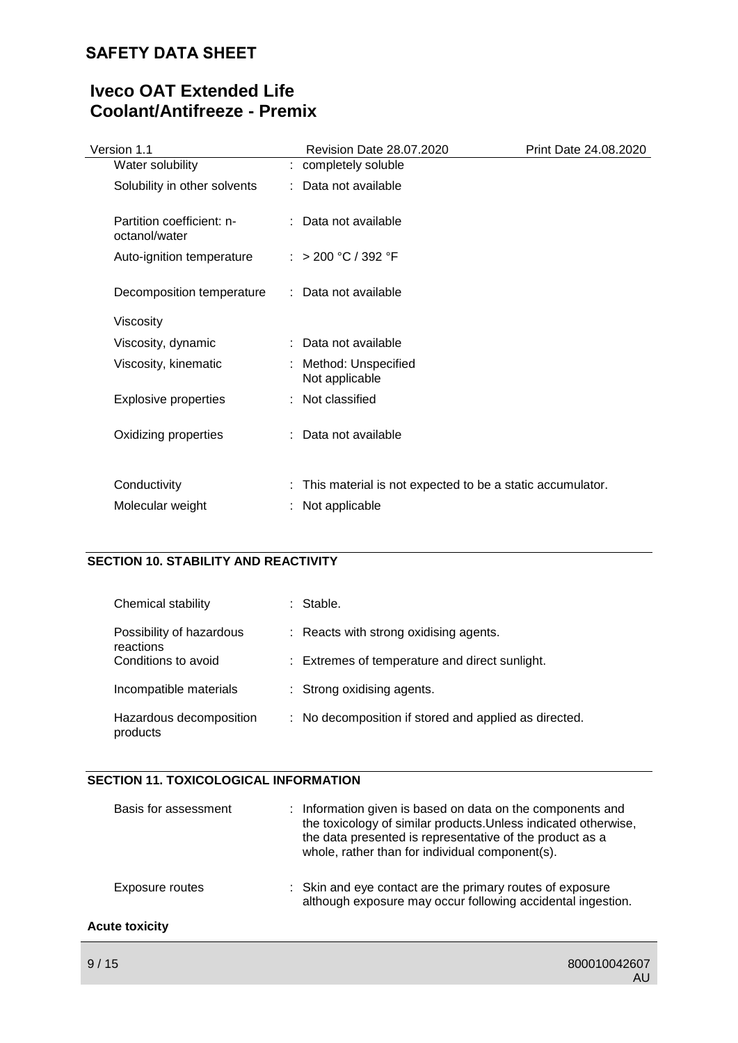# **Iveco OAT Extended Life Coolant/Antifreeze - Premix**

| Version 1.1                                | Revision Date 28.07.2020                                  | Print Date 24.08.2020 |
|--------------------------------------------|-----------------------------------------------------------|-----------------------|
| Water solubility                           | : completely soluble                                      |                       |
| Solubility in other solvents               | : Data not available                                      |                       |
| Partition coefficient: n-<br>octanol/water | : Data not available                                      |                       |
| Auto-ignition temperature                  | : > 200 °C / 392 °F                                       |                       |
| Decomposition temperature                  | : Data not available                                      |                       |
| Viscosity                                  |                                                           |                       |
| Viscosity, dynamic                         | : Data not available                                      |                       |
| Viscosity, kinematic                       | : Method: Unspecified<br>Not applicable                   |                       |
| <b>Explosive properties</b>                | : Not classified                                          |                       |
| Oxidizing properties                       | : Data not available                                      |                       |
| Conductivity                               | This material is not expected to be a static accumulator. |                       |
| Molecular weight                           | : Not applicable                                          |                       |

## **SECTION 10. STABILITY AND REACTIVITY**

| Chemical stability                    | Stable.                                               |
|---------------------------------------|-------------------------------------------------------|
| Possibility of hazardous<br>reactions | : Reacts with strong oxidising agents.                |
| Conditions to avoid                   | : Extremes of temperature and direct sunlight.        |
| Incompatible materials                | : Strong oxidising agents.                            |
| Hazardous decomposition<br>products   | : No decomposition if stored and applied as directed. |

## **SECTION 11. TOXICOLOGICAL INFORMATION**

| Basis for assessment  | : Information given is based on data on the components and<br>the toxicology of similar products. Unless indicated otherwise,<br>the data presented is representative of the product as a<br>whole, rather than for individual component(s). |
|-----------------------|----------------------------------------------------------------------------------------------------------------------------------------------------------------------------------------------------------------------------------------------|
| Exposure routes       | : Skin and eye contact are the primary routes of exposure<br>although exposure may occur following accidental ingestion.                                                                                                                     |
| <b>Acute toxicity</b> |                                                                                                                                                                                                                                              |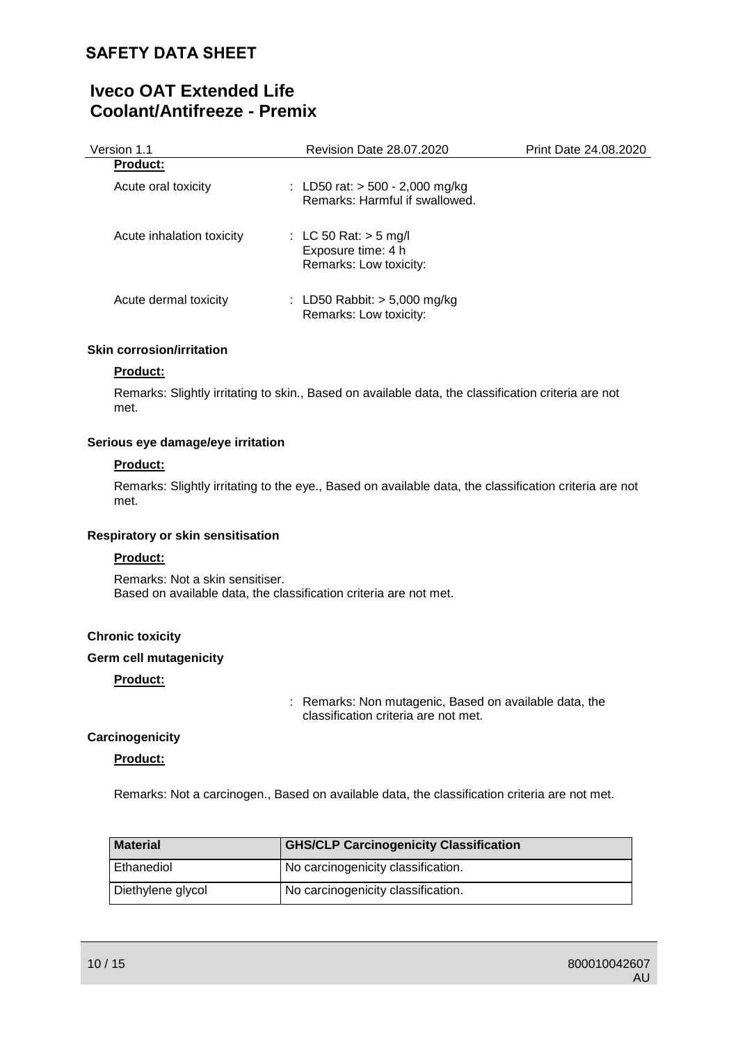# **Iveco OAT Extended Life Coolant/Antifreeze - Premix**

| Version 1.1               | <b>Revision Date 28.07.2020</b>                                         | Print Date 24.08.2020 |
|---------------------------|-------------------------------------------------------------------------|-----------------------|
| <b>Product:</b>           |                                                                         |                       |
| Acute oral toxicity       | : LD50 rat: $>$ 500 - 2,000 mg/kg<br>Remarks: Harmful if swallowed.     |                       |
| Acute inhalation toxicity | : LC 50 Rat: $>$ 5 mg/l<br>Exposure time: 4 h<br>Remarks: Low toxicity: |                       |
| Acute dermal toxicity     | : LD50 Rabbit: $>$ 5,000 mg/kg<br>Remarks: Low toxicity:                |                       |

#### **Skin corrosion/irritation**

#### **Product:**

Remarks: Slightly irritating to skin., Based on available data, the classification criteria are not met.

### **Serious eye damage/eye irritation**

#### **Product:**

Remarks: Slightly irritating to the eye., Based on available data, the classification criteria are not met.

### **Respiratory or skin sensitisation**

#### **Product:**

Remarks: Not a skin sensitiser. Based on available data, the classification criteria are not met.

### **Chronic toxicity**

### **Germ cell mutagenicity**

### **Product:**

: Remarks: Non mutagenic, Based on available data, the classification criteria are not met.

### **Carcinogenicity**

### **Product:**

Remarks: Not a carcinogen., Based on available data, the classification criteria are not met.

| <b>Material</b>   | <b>GHS/CLP Carcinogenicity Classification</b> |
|-------------------|-----------------------------------------------|
| Ethanediol        | No carcinogenicity classification.            |
| Diethylene glycol | No carcinogenicity classification.            |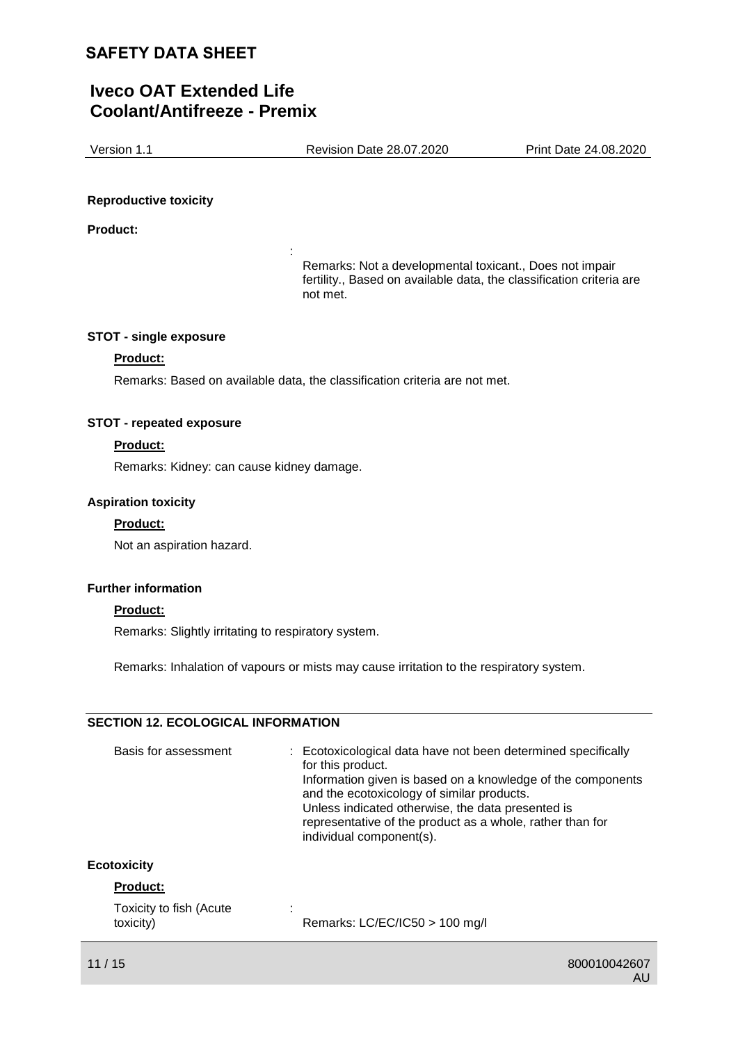# **Iveco OAT Extended Life Coolant/Antifreeze - Premix**

Version 1.1 Revision Date 28.07.2020 Print Date 24.08.2020

#### **Reproductive toxicity**

**Product:**

Remarks: Not a developmental toxicant., Does not impair fertility., Based on available data, the classification criteria are not met.

#### **STOT - single exposure**

### **Product:**

Remarks: Based on available data, the classification criteria are not met.

:

#### **STOT - repeated exposure**

### **Product:**

Remarks: Kidney: can cause kidney damage.

#### **Aspiration toxicity**

#### **Product:**

Not an aspiration hazard.

#### **Further information**

#### **Product:**

Remarks: Slightly irritating to respiratory system.

Remarks: Inhalation of vapours or mists may cause irritation to the respiratory system.

### **SECTION 12. ECOLOGICAL INFORMATION**

| Basis for assessment    | : Ecotoxicological data have not been determined specifically<br>for this product.<br>Information given is based on a knowledge of the components<br>and the ecotoxicology of similar products.<br>Unless indicated otherwise, the data presented is<br>representative of the product as a whole, rather than for<br>individual component(s). |
|-------------------------|-----------------------------------------------------------------------------------------------------------------------------------------------------------------------------------------------------------------------------------------------------------------------------------------------------------------------------------------------|
| <b>Ecotoxicity</b>      |                                                                                                                                                                                                                                                                                                                                               |
| <b>Product:</b>         |                                                                                                                                                                                                                                                                                                                                               |
| Toxicity to fish (Acute |                                                                                                                                                                                                                                                                                                                                               |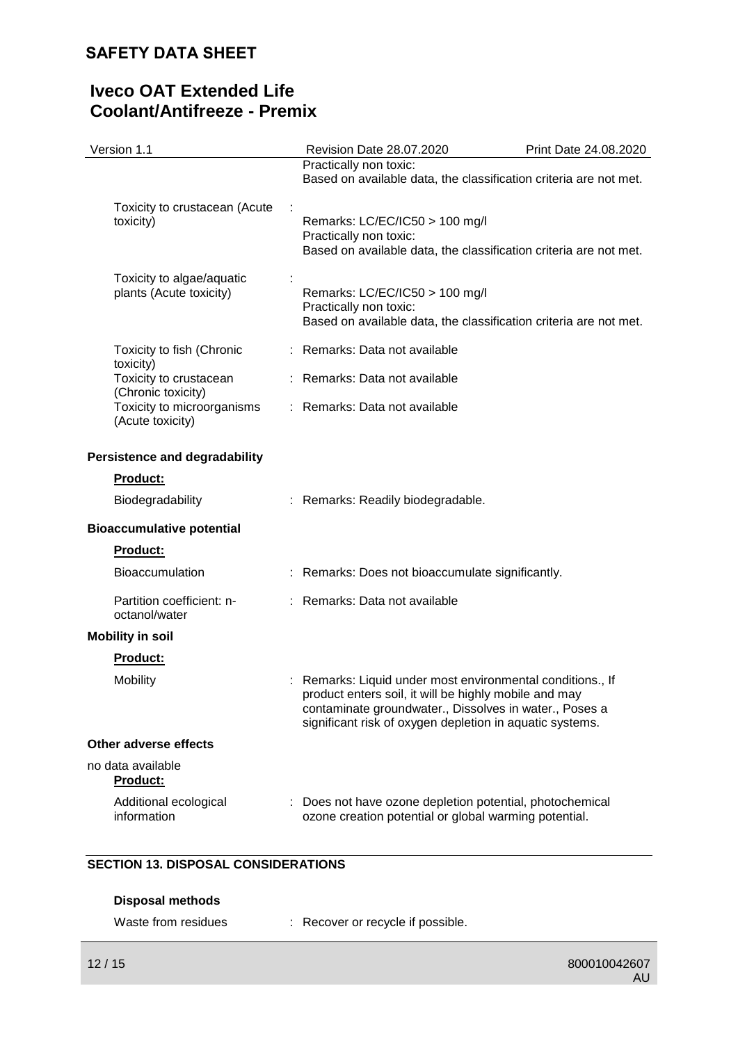# **Iveco OAT Extended Life Coolant/Antifreeze - Premix**

| Version 1.1                                          | Revision Date 28.07.2020                                                                                                                                                                                                                  | Print Date 24.08.2020 |
|------------------------------------------------------|-------------------------------------------------------------------------------------------------------------------------------------------------------------------------------------------------------------------------------------------|-----------------------|
|                                                      | Practically non toxic:<br>Based on available data, the classification criteria are not met.                                                                                                                                               |                       |
| Toxicity to crustacean (Acute<br>toxicity)           | Remarks: LC/EC/IC50 > 100 mg/l<br>Practically non toxic:<br>Based on available data, the classification criteria are not met.                                                                                                             |                       |
| Toxicity to algae/aquatic<br>plants (Acute toxicity) | Remarks: LC/EC/IC50 > 100 mg/l<br>Practically non toxic:<br>Based on available data, the classification criteria are not met.                                                                                                             |                       |
| Toxicity to fish (Chronic<br>toxicity)               | : Remarks: Data not available                                                                                                                                                                                                             |                       |
| Toxicity to crustacean<br>(Chronic toxicity)         | : Remarks: Data not available                                                                                                                                                                                                             |                       |
| Toxicity to microorganisms<br>(Acute toxicity)       | : Remarks: Data not available                                                                                                                                                                                                             |                       |
| <b>Persistence and degradability</b>                 |                                                                                                                                                                                                                                           |                       |
| <b>Product:</b>                                      |                                                                                                                                                                                                                                           |                       |
| Biodegradability                                     | : Remarks: Readily biodegradable.                                                                                                                                                                                                         |                       |
| <b>Bioaccumulative potential</b>                     |                                                                                                                                                                                                                                           |                       |
| <b>Product:</b>                                      |                                                                                                                                                                                                                                           |                       |
| <b>Bioaccumulation</b>                               | : Remarks: Does not bioaccumulate significantly.                                                                                                                                                                                          |                       |
| Partition coefficient: n-<br>octanol/water           | : Remarks: Data not available                                                                                                                                                                                                             |                       |
| <b>Mobility in soil</b>                              |                                                                                                                                                                                                                                           |                       |
| Product:                                             |                                                                                                                                                                                                                                           |                       |
| <b>Mobility</b>                                      | : Remarks: Liquid under most environmental conditions., If<br>product enters soil, it will be highly mobile and may<br>contaminate groundwater., Dissolves in water., Poses a<br>significant risk of oxygen depletion in aquatic systems. |                       |
| Other adverse effects                                |                                                                                                                                                                                                                                           |                       |
| no data available<br><b>Product:</b>                 |                                                                                                                                                                                                                                           |                       |
| Additional ecological<br>information                 | : Does not have ozone depletion potential, photochemical<br>ozone creation potential or global warming potential.                                                                                                                         |                       |

# **SECTION 13. DISPOSAL CONSIDERATIONS**

| <b>Disposal methods</b> |  |
|-------------------------|--|
|-------------------------|--|

| Waste from residues |  | : Recover or recycle if possible. |
|---------------------|--|-----------------------------------|
|---------------------|--|-----------------------------------|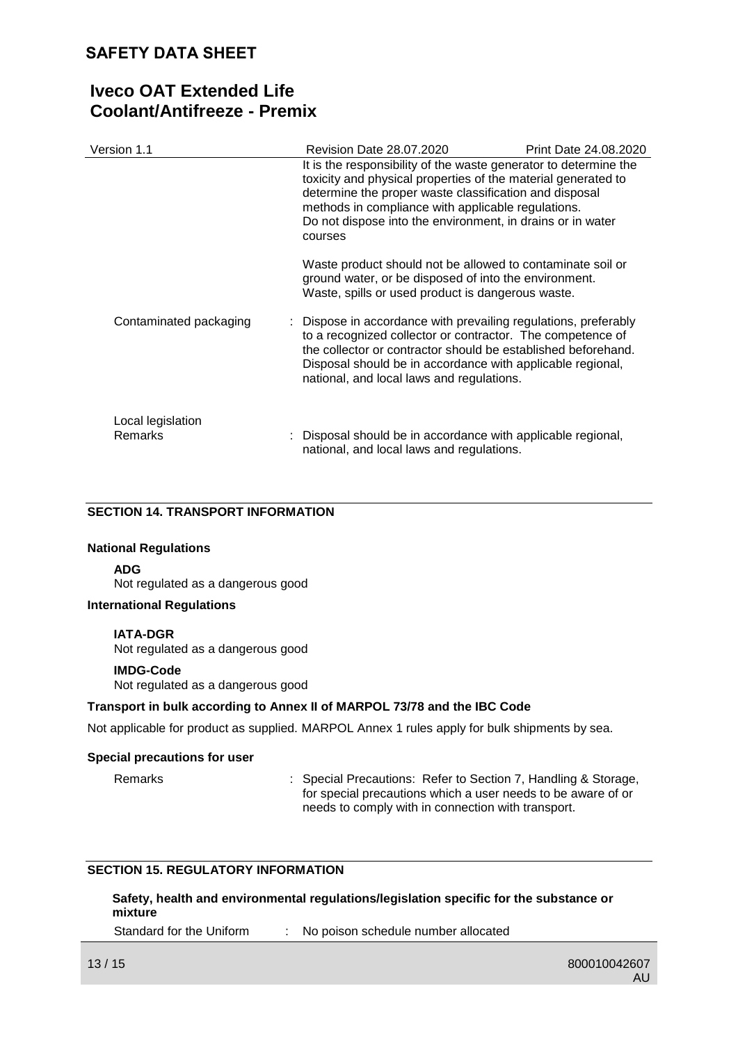| Version 1.1                         | Revision Date 28.07.2020                                                                                                                                                                                                                                                                                  | Print Date 24.08.2020                                                                                                                                                                                                                                                                                           |  |
|-------------------------------------|-----------------------------------------------------------------------------------------------------------------------------------------------------------------------------------------------------------------------------------------------------------------------------------------------------------|-----------------------------------------------------------------------------------------------------------------------------------------------------------------------------------------------------------------------------------------------------------------------------------------------------------------|--|
|                                     | courses                                                                                                                                                                                                                                                                                                   | It is the responsibility of the waste generator to determine the<br>toxicity and physical properties of the material generated to<br>determine the proper waste classification and disposal<br>methods in compliance with applicable regulations.<br>Do not dispose into the environment, in drains or in water |  |
|                                     | Waste product should not be allowed to contaminate soil or<br>ground water, or be disposed of into the environment.<br>Waste, spills or used product is dangerous waste.                                                                                                                                  |                                                                                                                                                                                                                                                                                                                 |  |
| Contaminated packaging              | : Dispose in accordance with prevailing regulations, preferably<br>to a recognized collector or contractor. The competence of<br>the collector or contractor should be established beforehand.<br>Disposal should be in accordance with applicable regional,<br>national, and local laws and regulations. |                                                                                                                                                                                                                                                                                                                 |  |
| Local legislation<br><b>Remarks</b> | : Disposal should be in accordance with applicable regional,<br>national, and local laws and regulations.                                                                                                                                                                                                 |                                                                                                                                                                                                                                                                                                                 |  |

### **SECTION 14. TRANSPORT INFORMATION**

### **National Regulations**

**ADG**

Not regulated as a dangerous good

### **International Regulations**

### **IATA-DGR**

Not regulated as a dangerous good

### **IMDG-Code**

Not regulated as a dangerous good

### **Transport in bulk according to Annex II of MARPOL 73/78 and the IBC Code**

Not applicable for product as supplied. MARPOL Annex 1 rules apply for bulk shipments by sea.

#### **Special precautions for user**

Remarks : Special Precautions: Refer to Section 7, Handling & Storage, for special precautions which a user needs to be aware of or needs to comply with in connection with transport.

### **SECTION 15. REGULATORY INFORMATION**

**Safety, health and environmental regulations/legislation specific for the substance or mixture**

Standard for the Uniform : No poison schedule number allocated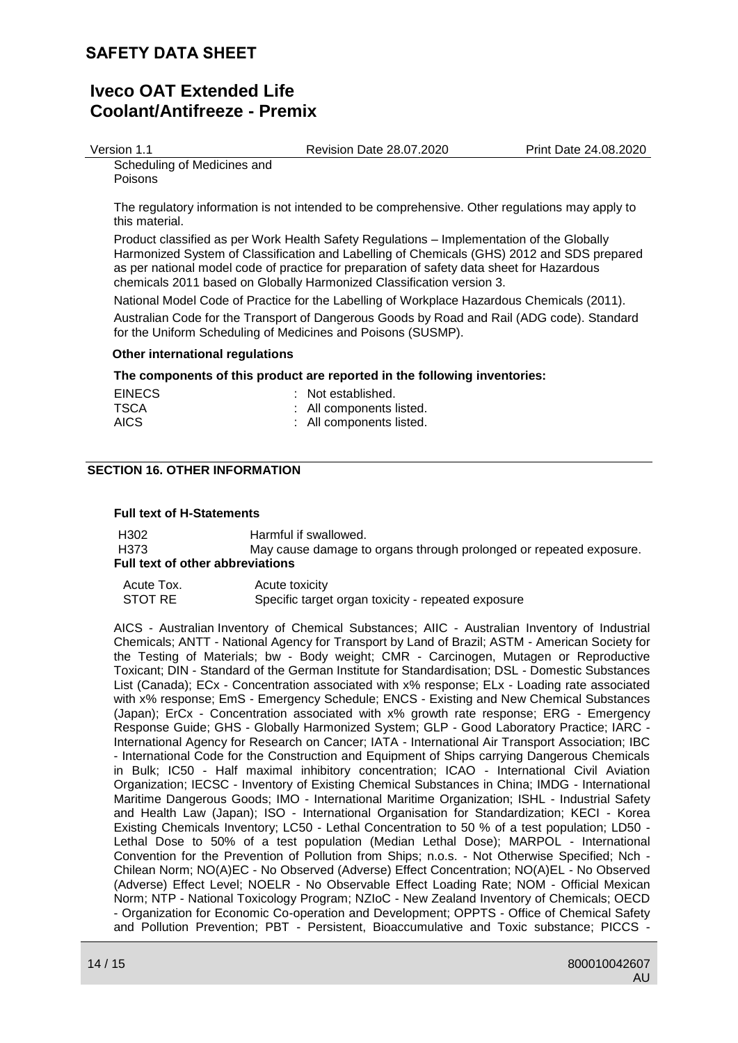# **Iveco OAT Extended Life Coolant/Antifreeze - Premix**

Version 1.1 Revision Date 28.07.2020 Print Date 24.08.2020

Scheduling of Medicines and

Poisons

The regulatory information is not intended to be comprehensive. Other regulations may apply to this material.

Product classified as per Work Health Safety Regulations – Implementation of the Globally Harmonized System of Classification and Labelling of Chemicals (GHS) 2012 and SDS prepared as per national model code of practice for preparation of safety data sheet for Hazardous chemicals 2011 based on Globally Harmonized Classification version 3.

National Model Code of Practice for the Labelling of Workplace Hazardous Chemicals (2011). Australian Code for the Transport of Dangerous Goods by Road and Rail (ADG code). Standard for the Uniform Scheduling of Medicines and Poisons (SUSMP).

#### **Other international regulations**

#### **The components of this product are reported in the following inventories:**

| <b>EINECS</b> | : Not established.       |
|---------------|--------------------------|
| TSCA          | : All components listed. |
| <b>AICS</b>   | : All components listed. |

### **SECTION 16. OTHER INFORMATION**

#### **Full text of H-Statements**

H302 Harmful if swallowed. H373 May cause damage to organs through prolonged or repeated exposure. **Full text of other abbreviations**

Acute Tox. Acute toxicity STOT RE Specific target organ toxicity - repeated exposure

AICS - Australian Inventory of Chemical Substances; AIIC - Australian Inventory of Industrial Chemicals; ANTT - National Agency for Transport by Land of Brazil; ASTM - American Society for the Testing of Materials; bw - Body weight; CMR - Carcinogen, Mutagen or Reproductive Toxicant; DIN - Standard of the German Institute for Standardisation; DSL - Domestic Substances List (Canada); ECx - Concentration associated with x% response; ELx - Loading rate associated with x% response; EmS - Emergency Schedule; ENCS - Existing and New Chemical Substances (Japan); ErCx - Concentration associated with x% growth rate response; ERG - Emergency Response Guide; GHS - Globally Harmonized System; GLP - Good Laboratory Practice; IARC - International Agency for Research on Cancer; IATA - International Air Transport Association; IBC - International Code for the Construction and Equipment of Ships carrying Dangerous Chemicals in Bulk; IC50 - Half maximal inhibitory concentration; ICAO - International Civil Aviation Organization; IECSC - Inventory of Existing Chemical Substances in China; IMDG - International Maritime Dangerous Goods; IMO - International Maritime Organization; ISHL - Industrial Safety and Health Law (Japan); ISO - International Organisation for Standardization; KECI - Korea Existing Chemicals Inventory; LC50 - Lethal Concentration to 50 % of a test population; LD50 - Lethal Dose to 50% of a test population (Median Lethal Dose); MARPOL - International Convention for the Prevention of Pollution from Ships; n.o.s. - Not Otherwise Specified; Nch - Chilean Norm; NO(A)EC - No Observed (Adverse) Effect Concentration; NO(A)EL - No Observed (Adverse) Effect Level; NOELR - No Observable Effect Loading Rate; NOM - Official Mexican Norm; NTP - National Toxicology Program; NZIoC - New Zealand Inventory of Chemicals; OECD - Organization for Economic Co-operation and Development; OPPTS - Office of Chemical Safety and Pollution Prevention; PBT - Persistent, Bioaccumulative and Toxic substance; PICCS -